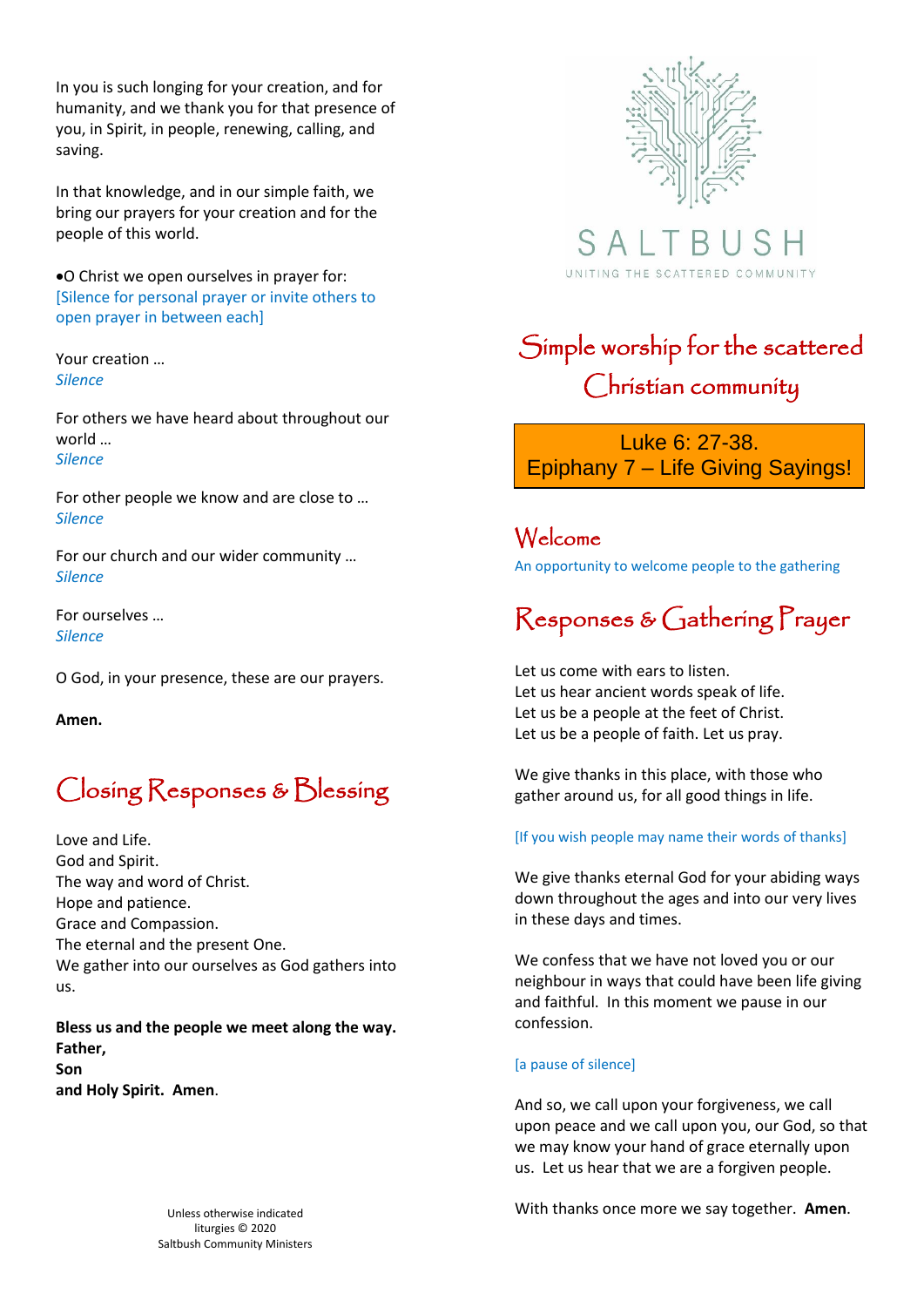In you is such longing for your creation, and for humanity, and we thank you for that presence of you, in Spirit, in people, renewing, calling, and saving.

In that knowledge, and in our simple faith, we bring our prayers for your creation and for the people of this world.

•O Christ we open ourselves in prayer for: [Silence for personal prayer or invite others to open prayer in between each]

Your creation … *Silence*

For others we have heard about throughout our world … *Silence*

For other people we know and are close to … *Silence*

For our church and our wider community … *Silence*

For ourselves … *Silence*

O God, in your presence, these are our prayers.

**Amen.**

### Closing Responses & Blessing

Love and Life. God and Spirit. The way and word of Christ. Hope and patience. Grace and Compassion. The eternal and the present One. We gather into our ourselves as God gathers into us.

**Bless us and the people we meet along the way. Father, Son and Holy Spirit. Amen**.



SA. UNITING THE SCATTERED COMMUNITY

# Simple worship for the scattered Christian community

Luke 6: 27-38. Epiphany 7 – Life Giving Sayings!

Welcome An opportunity to welcome people to the gathering

# Responses & Gathering Prayer

Let us come with ears to listen. Let us hear ancient words speak of life. Let us be a people at the feet of Christ. Let us be a people of faith. Let us pray.

We give thanks in this place, with those who gather around us, for all good things in life.

#### [If you wish people may name their words of thanks]

We give thanks eternal God for your abiding ways down throughout the ages and into our very lives in these days and times.

We confess that we have not loved you or our neighbour in ways that could have been life giving and faithful. In this moment we pause in our confession.

#### [a pause of silence]

And so, we call upon your forgiveness, we call upon peace and we call upon you, our God, so that we may know your hand of grace eternally upon us. Let us hear that we are a forgiven people.

With thanks once more we say together. **Amen**.

Unless otherwise indicated liturgies © 2020 Saltbush Community Ministers